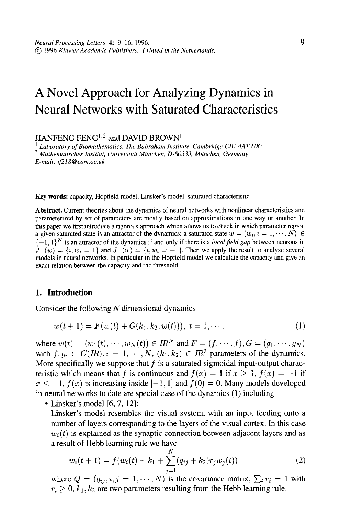# A Novel Approach for Analyzing Dynamics in Neural Networks with Saturated Characteristics

JIANFENG FENG<sup>1,2</sup> and DAVID BROWN<sup>1</sup>

Laboratory of Biomathematics. The Babraham Institute, Cambridge CB2 4AT UK;  $2$  Mathematisches Institut, Universität München, D-80333, München, Germany E-mail: jf218@cam.ac.uk

Key words: capacity, Hopfield model, Linsker's model. saturated characteristic

Abstract. Current theories about the dynamics of neural networks with nonlinear characteristics and pammeterized by set of parameters are mostly based on approximations in one way or another. In this paper we first introduce a rigorous approach which allows us to check in which parameter region a given saturated state is an attractor of the dynamics: a saturated state  $w = (w_i, i = 1, \dots, N) \in$  $\{-1,1\}^N$  is an attractor of the dynamics if and only if there is a *local field gap* between neurons in  $\mathbf{I}^{\text{H}}$  and  $\mathbf{I}^{\text{H}}$  and  $\mathbf{I}^{\text{H}}$  and  $\mathbf{I}^{\text{H}}$  and we apply the result of an apply the result to analyze serves and  $\mathbf{I}^{\text{H}}$  $\omega$  (w)  $\omega$  is not neglect  $\omega$  in the  $\omega$  in the  $\omega$  and give  $\omega$  and give  $\omega$  and give  $\omega$  and give and give and give and give and give and give and give and give and give and give and give and give and give and exact relation between the particular in the response

### 1. Introduction

Consider the following N-dimensional dynamics

$$
w(t+1) = F(w(t) + G(k_1, k_2, w(t))), t = 1, \cdots,
$$
\n(1)

where w(t) = (WI(~), . . . ,wN(~)) E IfPandF = (f,-..,f),G = (gl,...,gN) where  $w(t) = (w_1(t), \dots, w_N(t)) \in H$  and  $t = (f, \dots, f), \emptyset = (g_1, \dots, g_N)$ with  $f, g_i \in C(\mathbb{R})$ ,  $i = 1, \dots, N$ ,  $(k_1, k_2) \in \mathbb{R}^2$  parameters of the dynamics. More specifically we suppose that f is a saturated sigmoidal input-output characteristic which means that f is continuous and  $f(x) = 1$  if  $x \ge 1$ ,  $f(x) = -1$  if  $x \le -1$ ,  $f(x)$  is increasing inside  $[-1, 1]$  and  $f(0) = 0$ . Many models developed in neural networks to date are special case of the dynamics  $(1)$  including

 $\bullet$  Linsker's model [6, 7, 12]:

Linsker's model resembles the visual system, with an input feeding onto a number of layers corresponding to the layers of the visual cortex. In this case  $w_i(t)$  is explained as the synaptic connection between adjacent layers and as a result of Hebb learning rule we have

$$
w_i(t+1) = f(w_i(t) + k_1 + \sum_{j=1}^{N} (q_{ij} + k_2) r_j w_j(t))
$$
\n(2)

where  $Q = (q_{ij}, i, j = 1, \dots, N)$  is the covariance matrix,  $\sum_i r_i = 1$  with  $r_1 \geq 0$ ,  $k_1, k_2$  are two parameters resulting from the Hebb learning rule.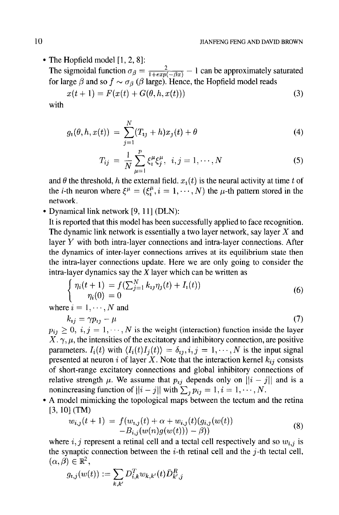• The Hopfield model  $[1, 2, 8]$ :

The sigmoidal function  $\sigma_{\beta} = \frac{2}{1+\exp(-\beta x)} - 1$  can be approximately saturated for large  $\beta$  and so  $f \sim \sigma_{\beta}$  ( $\beta$  large). Hence, the Hopfield model reads

$$
x(t + 1) = F(x(t) + G(\theta, h, x(t)))
$$
\n(3)

with

$$
g_i(\theta, h, x(t)) = \sum_{j=1}^{N} (T_{ij} + h)x_j(t) + \theta
$$
\n(4)

$$
T_{ij} = \frac{1}{N} \sum_{\mu=1}^{p} \xi_i^{\mu} \xi_j^{\mu}, \ i, j = 1, \cdots, N
$$
 (5)

and  $\theta$  the threshold, h the external field.  $x_i(t)$  is the neural activity at time t of the *i*-th neuron where  $\xi^{\mu} = (\xi_i^{\mu}, i = 1, \dots, N)$  the  $\mu$ -th pattern stored in the network.

• Dynamical link network [9, 11] (DLN):

It is reported that this model has been successfully applied to face recognition. The dynamic link network is essentially a two layer network, say layer  $X$  and layer Y with both intra-layer connections and intra-layer connections. After the dynamics of inter-layer connections arrives at its equilibrium state then the intra-layer connections update. Here we are only going to consider the intra-layer dynamics say the X layer which can be written as

$$
\begin{cases}\n\eta_i(t+1) = f(\sum_{j=1}^N k_{ij}\eta_j(t) + I_i(t)) \\
\eta_i(0) = 0\n\end{cases}
$$
\n(6)

where  $i = 1, \dots, N$  and

$$
k_{ij} = \gamma p_{ij} - \mu \tag{7}
$$

 $p_{ij} \geq 0, i, j = 1, \cdots, N$  is the weight (interaction) function inside the layer  $X, \gamma, \mu$ , the intensities of the excitatory and inhibitory connection, are positive parameters.  $I_i(t)$  with  $\langle I_i(t)I_j(t)\rangle = \delta_{ij}, i, j = 1, \dots, N$  is the input signal presented at neuron i of layer X. Note that the interaction kernel  $k_{ij}$  consists of short-range excitatory connections and global inhibitory connections of relative strength  $\mu$ . We assume that  $p_{ij}$  depends only on  $||i - j||$  and is a nonincreasing function of  $||i - j||$  with  $\sum_{i} p_{ij} = 1, i = 1, \dots, N$ .

• A model mimicking the topological maps between the tectum and the retina  $[3, 10]$  (TM)  $J(1 \text{N})$ 

$$
w_{i,j}(t+1) = f(w_{i,j}(t) + \alpha + w_{i,j}(t)(g_{i,j}(w(t))) -B_{i,j}(w(n)g(w(t))) - \beta))
$$
\n(8)

where  $i, j$  represent a retinal cell and a tectal cell respectively and so  $w_{i,j}$  is the synaptic connection between the *i*-th retinal cell and the *j*-th tectal cell,  $(\alpha, \beta) \in \mathbb{R}^2$ ,

$$
g_{i,j}(w(t)) := \sum_{k,k'} D_{i,k}^T w_{k,k'}(t) \bar{D}_{k',j}^R
$$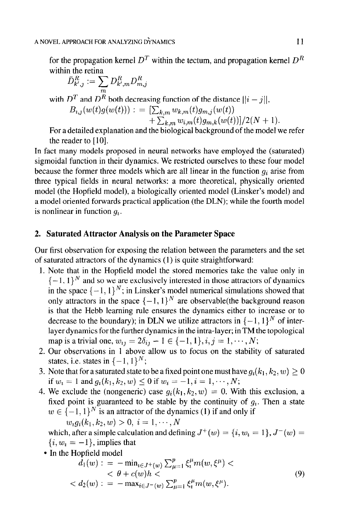for the propagation kernel  $D<sup>T</sup>$  within the tectum, and propagation kernel  $D<sup>R</sup>$ within the retina

$$
\bar{D}^R_{k',j} := \sum_m D^R_{k',m} D^R_{m,j}
$$

with  $D^T$  and  $D^R$  both decreasing function of the distance  $||i - j||$ ,  $B_{i,j}(w(t)g(w(t)))$  : =  $\left[\sum_{k,m} w_{k,m}(t)g_{m,j}(w(t))\right]$  $+\sum_{k,m} w_{i,m}(t)g_{m,k}(w(t))]$ /2(N + 1).

For a detailed explanation and the biological background of the model we refer the reader to  $[10]$ .

In fact many models proposed in neural networks have employed the (saturated) sigmoidal function in their dynamics. We restricted ourselves to these four model because the former three models which are all linear in the function  $q_i$  arise from three typical fields in neural networks: a more theoretical, physically oriented model (the Hopfield model), a biologically oriented model (Linsker's model) and a model oriented forwards practical application (the DLN); while the fourth model is nonlinear in function  $q_i$ .

## 2. Saturated Attractor Analysis on the Parameter Space

Our first observation for exposing the relation between the parameters and the set of saturated attractors of the dynamics (1) is quite straightforward:

- 1. Note that in the Hopfield model the stored memories take the value only in  $\{-1, 1\}^N$  and so we are exclusively interested in those attractors of dynamics in the space  $\{-1, 1\}^N$ ; in Linsker's model numerical simulations showed that only attractors in the space  $\{-1, 1\}^N$  are observable(the background reason is that the Hebb learning rule ensures the dynamics either to increase or to  $\ddot{a}$  and the ricoo realing rule ensures the dynamics character to increase of  $\ddot{a}$ layer discrete to the boundary, in DLA we define attracted in  $\left[1,1\right]$  of the layer dynamics for the further dynamics in the intra-layer; in TM the topological map is a trivial one,  $w_{ij} = 2\delta_{ij} - 1 \in \{-1, 1\}, i, j = 1, \cdots, N;$
- 2. Our observations in 1 above allow us to focus on the stability of saturated states, i.e. states in  $\{-1, 1\}^N$ ; States, i.e. states in  $\{-1, 1\}$ ,
- $\overline{N}$ oie that for a saturated state to be a fixed point one filt if  $w_i = 1$  and  $g_i(k_1, k_2, w) \le 0$  if  $w_i = -1, i = 1, \dots, N$ ;
- 4. We exclude the (nongeneric) case  $g_i(k_1, k_2, w) = 0$ . With this exclusion, a fixed point is guaranteed to be stable by the continuity of  $g_i$ . Then a state  $w \in \{-1, 1\}^N$  is an attractor of the dynamics (1) if and only if<br> $w_i q_i(k_1, k_2, w) > 0, i = 1, \dots, N$

 $w_i g_i(\kappa_1, \kappa_2, w) > 0, t = 1, \cdots, N$ which, after a simple calcu  $\{i, w_i = -1\}$ , implies that

• In the Hopfield model

$$
d_1(w) := -\min_{i \in J^+(w)} \sum_{\mu=1}^p \xi_i^{\mu} m(w, \xi^{\mu}) < \theta + c(w)h < d_2(w) := -\max_{i \in J^-(w)} \sum_{\mu=1}^p \xi_i^{\mu} m(w, \xi^{\mu}).
$$
 (9)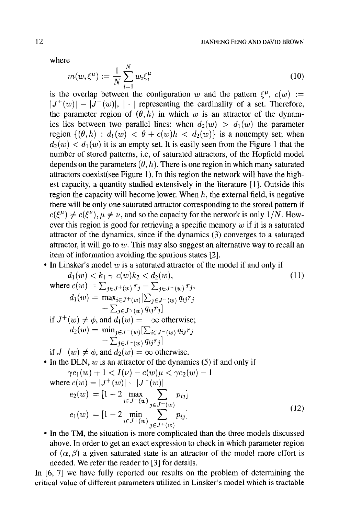where

$$
m(w, \xi^{\mu}) := \frac{1}{N} \sum_{i=1}^{N} w_i \xi_i^{\mu}
$$
 (10)

is the overlap between the configuration w and the pattern  $\xi^{\mu}$ ,  $c(w) :=$  $|J^+(w)| - |\tilde{J}^-(w)|$ , | | representing the cardinality of a set. Therefore, the parameter region of  $(\theta, h)$  in which w is an attractor of the dynamics lies between two parallel lines: when  $d_2(w) > d_1(w)$  the parameter region  $\{(\theta, h) : d_1(w) < \theta + c(w)h < d_2(w)\}\$ is a nonempty set; when  $d_2(w) < d_1(w)$  it is an empty set. It is easily seen from the Figure 1 that the number of stored patterns, i.e, of saturated attractors, of the Hopfield model depends on the parameters  $(\theta, h)$ . There is one region in which many saturated attractors coexist(see Figure 1). In this region the network will have the highest capacity, a quantity studied extensively in the literature [l]. Outside this region the capacity will become lower. When  $h$ , the external field, is negative there will be only one saturated attractor corresponding to the stored pattern if  $c(\xi^{\mu}) \neq c(\xi^{\nu}), \mu \neq \nu$ , and so the capacity for the network is only 1/N. However this region is good for retrieving a specific memory  $w$  if it is a saturated attractor of the dynamics, since if the dynamics (3) converges to a saturated attractor, it will go to  $w$ . This may also suggest an alternative way to recall an item of information avoiding the spurious states [2].

In Linsker's model  $w$  is a saturated attractor of the model if and only if

$$
d_1(w) < k_1 + c(w)k_2 < d_2(w),
$$
\nwhere 
$$
c(w) = \sum_{j \in J^+(w)} r_j - \sum_{j \in J^-(w)} r_j,
$$
\n
$$
d_1(w) = \max_{i \in J^+(w)} \left[ \sum_{j \in J^-(w)} q_{ij} r_j - \sum_{j \in J^+(w)} q_{ij} r_j \right]
$$
\nif 
$$
J^+(w) \neq \phi
$$
, and 
$$
d_1(w) = -\infty
$$
 otherwise; 
$$
d_2(w) = \min_{j \in J^-(w)} \left[ \sum_{i \in J^-(w)} q_{ij} r_j - \sum_{j \in J^+(w)} q_{ij} r_j \right]
$$
\nif 
$$
J^-(w) \neq \phi
$$
, and 
$$
d_2(w) = \infty
$$
 otherwise.\n• In the DLN, w is an attractor of the dynamics (5) if and only if

$$
\gamma e_1(w) + 1 < I(\nu) - c(w)\mu < \gamma e_2(w) - 1
$$
\n
$$
\text{where } c(w) = |J^+(w)| - |J^-(w)|
$$
\n
$$
e_2(w) = [1 - 2 \max_{i \in J^-(w)} \sum_{j \in J^+(w)} p_{ij}]
$$
\n
$$
e_1(w) = [1 - 2 \min_{i \in J^+(w)} \sum_{j \in J^+(w)} p_{ij}]
$$
\n(12)

• In the TM, the situation is more complicated than the three models discussed above. In order to get an exact expression to check in which parameter region of  $(\alpha, \beta)$  a given saturated state is an attractor of the model more effort is needed. We refer the reader to [3] for details.

In  $[6, 7]$  we have fully reported our results on the problem of determining the critical value of different parameters utilized in Linsker's model which is tractable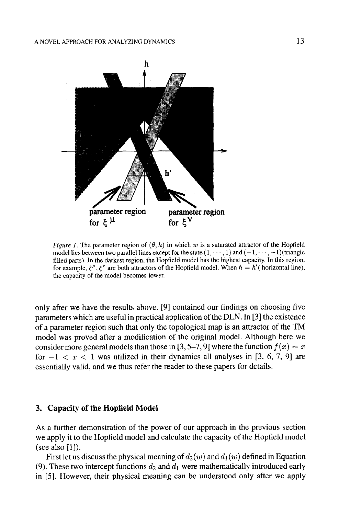

*Figure 1.* The parameter region of  $(\theta, h)$  in which w is a saturated attractor of the Hopfield model lies between two parallel lines except for the state  $(1, \dots, 1)$  and  $(-1, \dots, -1)$  (triangle filled parts), tn the darkest region, the Hopfield model has the highest capacity. In this region, for example,  $\xi^{\mu}$ ,  $\xi^{\nu}$  are both attractors of the Hopfield model. When  $h = h'$  (horizontal line), the capacity of the model becomes lower.

only after we have the results above. [9] contained our findings on choosing five parameters which are useful in practical application of the DLN. In [3] the existence of a parameter region such that only the topological map is an attractor of the TM model was proved after a modification of the original model. Although here we consider more general models than those in [3, 5–7, 9] where the function  $f(x) = x$ for  $-1 < x < 1$  was utilized in their dynamics all analyses in [3, 6, 7, 9] are essentially valid, and we thus refer the reader to these papers for details.

#### **3. Capacity of the Hopfidd Model**

As a further demonstration of the power of our approach in the previous section we apply it to the Hopfield model and calculate the capacity of the Hopfield model (see also [1]).

First let us discuss the physical meaning of  $d_2(w)$  and  $d_1(w)$  defined in Equation (9). These two intercept functions  $d_2$  and  $d_1$  were mathematically introduced early in [5]. However, their physical meaning can be understood only after we apply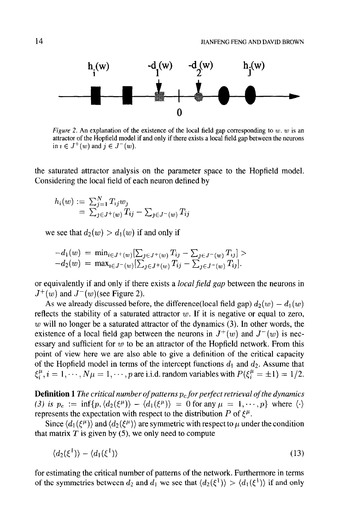

Figure 2. An explanation of the existence of the local field gap corresponding to  $w$ .  $w$  is an attractor of the Hopfield model if and only if there exists a local field gap between the neurons in  $i \in J^+(w)$  and  $j \in J^-(w)$ .

the saturated attractor analysis on the parameter space to the Hopfield model. Considering the local field of each neuron defined by

$$
h_i(w) := \sum_{j=1}^{N} T_{ij} w_j
$$
  
=  $\sum_{j \in J^+(w)} T_{ij} - \sum_{j \in J^-(w)} T_{ij}$ 

we see that  $d_2(w) > d_1(w)$  if and only if

$$
-d_1(w) = \min_{i \in J^+(w)} \left[ \sum_{j \in J^+(w)} T_{ij} - \sum_{j \in J^-(w)} T_{ij} \right] > -d_2(w) = \max_{i \in J^-(w)} \left[ \sum_{j \in J^+(w)} T_{ij} - \sum_{j \in J^-(w)} T_{ij} \right].
$$

or equivalently if and only if there exists a *local field gap* between the neurons in  $J^+(w)$  and  $J^-(w)$ (see Figure 2). (w) and  $\alpha$  (w) discussed by:

 $\frac{1}{10}$  we ancaly discussed before, the director cross flow  $\frac{1}{2}$   $\frac{1}{2}$   $\frac{1}{w}$   $\frac{1}{w}$ reflects the stability of a saturated attractor  $w$ . If it is negative or equal to zero,  $w$  will no longer be a saturated attractor of the dynamics (3). In other words, the  $\omega$  with no longer be a saturated attractor of the dynamics  $(z)$ , in other words, the existence of a focal field gap between the field of  $\sin \theta$  (w) and  $\theta$  (w) is field essary and sufficient for  $w$  to be an attractor of the Hopfield network. From this point of view here we are also able to give a definition of the critical capacity of the Hopfield model in terms of the intercept functions  $d_1$  and  $d_2$ . Assume that  $\xi_i^{\mu}$ ,  $i = 1, \dots, N\mu = 1, \dots, p$  are i.i.d. random variables with  $P(\xi_i^{\mu} = \pm 1) = 1/2$ .

**Definition** 1 The critical number of patterns  $p_c$  for perfect retrieval of the aynamics (3) is  $p_c := \inf\{p, \langle d_2(\xi^\mu) \rangle - \langle d_1(\xi^\mu) \rangle = 0$  for any  $\mu = 1, \dots, p\}$  where  $\langle \cdot \rangle$ . represents the expectation with respect to the distribution P of  $\xi^{\mu}$ .

Since  $\langle d_1(\xi^{\mu}) \rangle$  and  $\langle d_2(\xi^{\mu}) \rangle$  are symmetric with respect to  $\mu$  under the condition that matrix T is given by (5), we only need to compute

$$
\langle d_2(\xi^1) \rangle - \langle d_1(\xi^1) \rangle \tag{13}
$$

for estimating the critical number of patterns of the network. Furthermore in terms of the symmetries between  $d_2$  and  $d_1$  we see that  $\langle d_2(\xi^1) \rangle > \langle d_1(\xi^1) \rangle$  if and only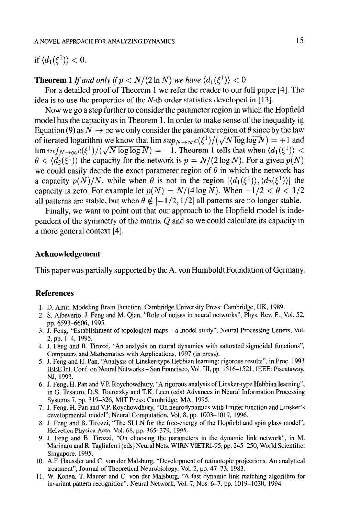if  $\langle d_1(\xi^1) \rangle < 0$ .

**Theorem 1** If and only if  $p < N/(2 \ln N)$  we have  $\langle d_1(\xi^1) \rangle < 0$ 

For a detailed proof of Theorem 1 we refer the reader to our full paper [4]. The idea is to use the properties of the  $N$ -th order statistics developed in [13].

Now we go a step further to consider the parameter region in which the Hopfield model has the capacity as in Theorem 1. In order to make sense of the inequality in Equation (9) as  $N \to \infty$  we only consider the parameter region of  $\theta$  since by the law of iterated logarithm we know that  $\limsup_{N\to\infty}c(\xi^1)/(\sqrt{N \log \log N}) = +1$  and  $\liminf_{N\to\infty}c(\xi^1)/(\sqrt{N\log\log N}) = -1$ . Theorem 1 tells that when  $\langle d_1(\xi^1)\rangle <$  $\theta < \langle d_2(\xi^1) \rangle$  the capacity for the network is  $p = N/(2 \log N)$ . For a given  $p(N)$ we could easily decide the exact parameter region of  $\theta$  in which the network has a capacity  $p(N)/N$ , while when  $\theta$  is not in the region  $[\langle d_1(\xi^1) \rangle, \langle d_2(\xi^1) \rangle]$  the capacity is zero. For example let  $p(N) = N/(4 \log N)$ . When  $-1/2 < \theta < 1/2$ all patterns are stable, but when  $\theta \notin [-1/2, 1/2]$  all patterns are no longer stable.

Finally, we want to point out that our approach to the Hopfield model is independent of the symmetry of the matrix Q and so we could calculate its capacity in a more general context [4].

#### Acknowledgement

This paper was partially supported by the A. von Humboldt Foundation of Germany.

## **References**

- 1. D. Amit, Modeling Brain Function, Cambridge University Press: Cambridge, UK, 1989. 1. D. Alhit, Modellig Drain Punction, Cambridge Oniversity Fress. Cambridge, OK, 1969.
- 2. S. Albeverio, J. Feng and M. Qian, "Role of noises in neural networks", Phys. Rev. E., Vol. 52, pp. 6593–6606, 1995.  $3.933 - 0000, 1993,$   $1993,$
- J. reng, Estabil  $2, pp. 1-4, 1993.$
- J. Feng and B. Tirozzi, An analysis on neural dynamics with Computers and Mathematics with Applications, 1997 (in press).
- 5. J. Feng and H. Pan, "Analysis of Linsker-type Hebbian learning: rigorous results", in Proc. 1993 IEEE Int. Conf. on Neural Networks – San Francisco, Vol. III, pp. 1516–1521, IEEE: Piscataway, NJ, 1993.  $\mathbf{N}$ , 1993.  $\mathbf{N}$
- 6. J. Feng, H. Pan and V.P. Roychowdhury, "A rigorous analysis of Linsker-type Hebbian learning", in G. Tesauro, D.S. Touretzky and T.K. Leen (eds) Advances in Neural Information Processing Systems 7, pp. 319–326, MIT Press: Cambridge, MA, 1995.
- 7. J. Feng, H. Pan and V.P. Roychowdhury, "On neurodynamics with limiter function and Linsker's developmental model", Neural Computation, Vol. 8, pp. 1003-1019, 1996.
- 8. J. Feng and B. Tirozzi, "The SLLN for the free-energy of the Hopfield and spin glass model", Helvetica Physica Acta, Vol. 68, pp. 365-379, 1995.
- 9. J. Feng and B. Tirozzi, "On choosing the parameters in the dynamic link network", in M. Marinaro and R. Tagliaferri (eds) Neural Nets, WIRN VIETRI-95, pp. 245–250, World Scientific: Singapore, 1995.
- 10. A.F. Häussler and C. von der Malsburg, "Development of retinotopic projections. An analytical treatment", Journal of Theoretical Neurobiology, Vol. 2, pp. 47–73, 1983.
- 11. W. Konen, T. Maurer and C. von der Malsburg, "A fast dynamic link matching algorithm for invariant pattern recognition". Neural Network, Vol. 7, Nos. 6-7, pp. 1019-1030, 1994.